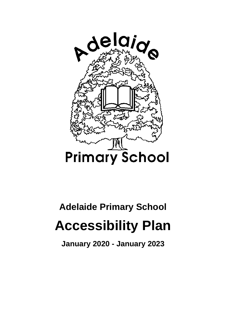

## **Adelaide Primary School**

## **Accessibility Plan**

**January 2020 - January 2023**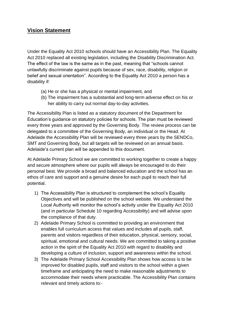## **Vision Statement**

Under the Equality Act 2010 schools should have an Accessibility Plan. The Equality Act 2010 replaced all existing legislation, including the Disability Discrimination Act. The effect of the law is the same as in the past, meaning that "schools cannot unlawfully discriminate against pupils because of sex, race, disability, religion or belief and sexual orientation". According to the Equality Act 2010 a person has a disability if:

- (a) He or she has a physical or mental impairment, and
- (b) The impairment has a substantial and long-term adverse effect on his or her ability to carry out normal day-to-day activities.

The Accessibility Plan is listed as a statutory document of the Department for Education's guidance on statutory policies for schools. The plan must be reviewed every three years and approved by the Governing Body. The review process can be delegated to a committee of the Governing Body, an individual or the Head. At Adelaide the Accessibility Plan will be reviewed every three years by the SENDCo, SMT and Governing Body, but all targets will be reviewed on an annual basis. Adelaide's current plan will be appended to this document.

At Adelaide Primary School we are committed to working together to create a happy and secure atmosphere where our pupils will always be encouraged to do their personal best. We provide a broad and balanced education and the school has an ethos of care and support and a genuine desire for each pupil to reach their full potential.

- 1) The Accessibility Plan is structured to complement the school's Equality Objectives and will be published on the school website. We understand the Local Authority will monitor the school's activity under the Equality Act 2010 (and in particular Schedule 10 regarding Accessibility) and will advise upon the compliance of that duty.
- 2) Adelaide Primary School is committed to providing an environment that enables full curriculum access that values and includes all pupils, staff, parents and visitors regardless of their education, physical, sensory, social, spiritual, emotional and cultural needs. We are committed to taking a positive action in the spirit of the Equality Act 2010 with regard to disability and developing a culture of inclusion, support and awareness within the school.
- 3) The Adelaide Primary School Accessibility Plan shows how access is to be improved for disabled pupils, staff and visitors to the school within a given timeframe and anticipating the need to make reasonable adjustments to accommodate their needs where practicable. The Accessibility Plan contains relevant and timely actions to:-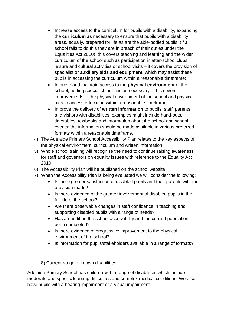- Increase access to the curriculum for pupils with a disability, expanding the **curriculum** as necessary to ensure that pupils with a disability areas, equally, prepared for life as are the able-bodied pupils; (If a school fails to do this they are in breach of their duties under the Equalities Act 2010); this covers teaching and learning and the wider curriculum of the school such as participation in after-school clubs, leisure and cultural activities or school visits – it covers the provision of specialist or **auxiliary aids and equipment,** which may assist these pupils in accessing the curriculum within a reasonable timeframe;
- Improve and maintain access to the **physical environment** of the school, adding specialist facilities as necessary – this covers improvements to the physical environment of the school and physical aids to access education within a reasonable timeframe;
- Improve the delivery of **written information** to pupils, staff, parents and visitors with disabilities; examples might include hand-outs, timetables, textbooks and information about the school and school events; the information should be made available in various preferred formats within a reasonable timeframe.
- 4) The Adelaide Primary School Accessibility Plan relates to the key aspects of the physical environment, curriculum and written information.
- 5) Whole school training will recognise the need to continue raising awareness for staff and governors on equality issues with reference to the Equality Act 2010.
- 6) The Accessibility Plan will be published on the school website
- 7) When the Accessibility Plan is being evaluated we will consider the following;
	- Is there greater satisfaction of disabled pupils and their parents with the provision made?
	- Is there evidence of the greater involvement of disabled pupils in the full life of the school?
	- Are there observable changes in staff confidence in teaching and supporting disabled pupils with a range of needs?
	- Has an audit on the school accessibility and the current population been completed?
	- Is there evidence of progressive improvement to the physical environment of the school?
	- Is information for pupils/stakeholders available in a range of formats?
	- 8) Current range of known disabilities

Adelaide Primary School has children with a range of disabilities which include moderate and specific learning difficulties and complex medical conditions. We also have pupils with a hearing impairment or a visual impairment.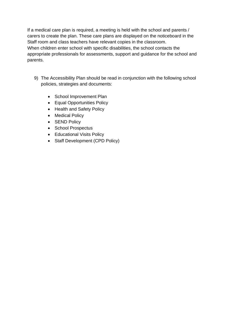If a medical care plan is required, a meeting is held with the school and parents / carers to create the plan. These care plans are displayed on the noticeboard in the Staff room and class teachers have relevant copies in the classroom. When children enter school with specific disabilities, the school contacts the appropriate professionals for assessments, support and guidance for the school and parents.

- 9) The Accessibility Plan should be read in conjunction with the following school policies, strategies and documents:
	- School Improvement Plan
	- Equal Opportunities Policy
	- Health and Safety Policy
	- Medical Policy
	- **SEND Policy**
	- School Prospectus
	- Educational Visits Policy
	- Staff Development (CPD Policy)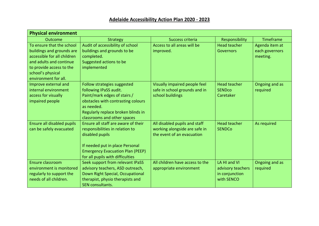| <b>Physical environment</b> |                                         |                                 |                          |                |
|-----------------------------|-----------------------------------------|---------------------------------|--------------------------|----------------|
| Outcome                     | <b>Strategy</b>                         | Success criteria                | Responsibility           | Timeframe      |
| To ensure that the school   | Audit of accessibility of school        | Access to all areas will be     | <b>Head teacher</b>      | Agenda item at |
| buildings and grounds are   | buildings and grounds to be             | improved.                       | <b>Governors</b>         | each governors |
| accessible for all children | completed.                              |                                 |                          | meeting.       |
| and adults and continue     | Suggested actions to be                 |                                 |                          |                |
| to provide access to the    | implemented                             |                                 |                          |                |
| school's physical           |                                         |                                 |                          |                |
| environment for all.        |                                         |                                 |                          |                |
| Improve external and        | Follow strategies suggested             | Visually impaired people feel   | <b>Head teacher</b>      | Ongoing and as |
| internal environment        | following IPaSS audit.                  | safe in school grounds and in   | <b>SEND<sub>co</sub></b> | required       |
| access for visually         | Paint/mark edges of stairs /            | school buildings                | Caretaker                |                |
| impaired people             | obstacles with contrasting colours      |                                 |                          |                |
|                             | as needed.                              |                                 |                          |                |
|                             | Regularly replace broken blinds in      |                                 |                          |                |
|                             | classrooms and other spaces             |                                 |                          |                |
| Ensure all disabled pupils  | Ensure all staff are aware of their     | All disabled pupils and staff   | <b>Head teacher</b>      | As required    |
| can be safely evacuated     | responsibilities in relation to         | working alongside are safe in   | <b>SENDCo</b>            |                |
|                             | disabled pupils                         | the event of an evacuation      |                          |                |
|                             |                                         |                                 |                          |                |
|                             | If needed put in place Personal         |                                 |                          |                |
|                             | <b>Emergency Evacuation Plan (PEEP)</b> |                                 |                          |                |
|                             | for all pupils with difficulties        |                                 |                          |                |
| <b>Ensure classroom</b>     | Seek support from relevant IPaSS        | All children have access to the | LA HI and VI             | Ongoing and as |
| environment is monitored    | advisory teachers, ASD outreach,        | appropriate environment         | advisory teachers        | required       |
| regularly to support the    | Down Right Special, Occupational        |                                 | in conjunction           |                |
| needs of all children.      | therapist, physio therapists and        |                                 | with SENCO               |                |
|                             | SEN consultants.                        |                                 |                          |                |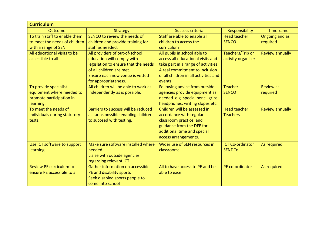| <b>Curriculum</b>                                                                           |                                                                                                                                                                                             |                                                                                                                                                                                               |                                          |                              |  |  |  |
|---------------------------------------------------------------------------------------------|---------------------------------------------------------------------------------------------------------------------------------------------------------------------------------------------|-----------------------------------------------------------------------------------------------------------------------------------------------------------------------------------------------|------------------------------------------|------------------------------|--|--|--|
| Outcome                                                                                     | <b>Strategy</b>                                                                                                                                                                             | Success criteria                                                                                                                                                                              | Responsibility                           | <b>Timeframe</b>             |  |  |  |
| To train staff to enable them<br>to meet the needs of children                              | SENCO to review the needs of<br>children and provide training for                                                                                                                           | Staff are able to enable all<br>children to access the                                                                                                                                        | <b>Head teacher</b><br><b>SENCO</b>      | Ongoing and as<br>required   |  |  |  |
| with a range of SEN.                                                                        | staff as needed.                                                                                                                                                                            | curriculum                                                                                                                                                                                    |                                          |                              |  |  |  |
| All educational visits to be<br>accessible to all                                           | All providers of out-of-school<br>education will comply with<br>legislation to ensure that the needs<br>of all children are met.<br>Ensure each new venue is vetted<br>for appropriateness. | All pupils in school able to<br>access all educational visits and<br>take part in a range of activities<br>A real commitment to inclusion<br>of all children in all activities and<br>events. | Teachers/Trip or<br>activity organiser   | <b>Review annually</b>       |  |  |  |
| To provide specialist<br>equipment where needed to<br>promote participation in<br>learning. | All children will be able to work as<br>independently as is possible.                                                                                                                       | Following advice from outside<br>agencies provide equipment as<br>needed. e.g. special pencil grips,<br>headphones, writing slopes etc.                                                       | <b>Teacher</b><br><b>SENCO</b>           | <b>Review as</b><br>required |  |  |  |
| To meet the needs of<br>individuals during statutory<br>tests.                              | Barriers to success will be reduced<br>as far as possible enabling children<br>to succeed with testing.                                                                                     | Children will be assessed in<br>accordance with regular<br>classroom practice, and<br>guidance from the DFE for<br>additional time and special<br>access arrangements.                        | <b>Head teacher</b><br><b>Teachers</b>   | <b>Review annually</b>       |  |  |  |
| Use ICT software to support<br>learning                                                     | Make sure software installed where<br>needed<br>Liaise with outside agencies<br>regarding relevant ICT.                                                                                     | Wider use of SEN resources in<br>classrooms                                                                                                                                                   | <b>ICT Co-ordinator</b><br><b>SENDCo</b> | As required                  |  |  |  |
| <b>Review PE curriculum to</b><br>ensure PE accessible to all                               | Gather information on accessible<br>PE and disability sports<br>Seek disabled sports people to<br>come into school                                                                          | All to have access to PE and be<br>able to excel                                                                                                                                              | PE co-ordinator                          | As required                  |  |  |  |